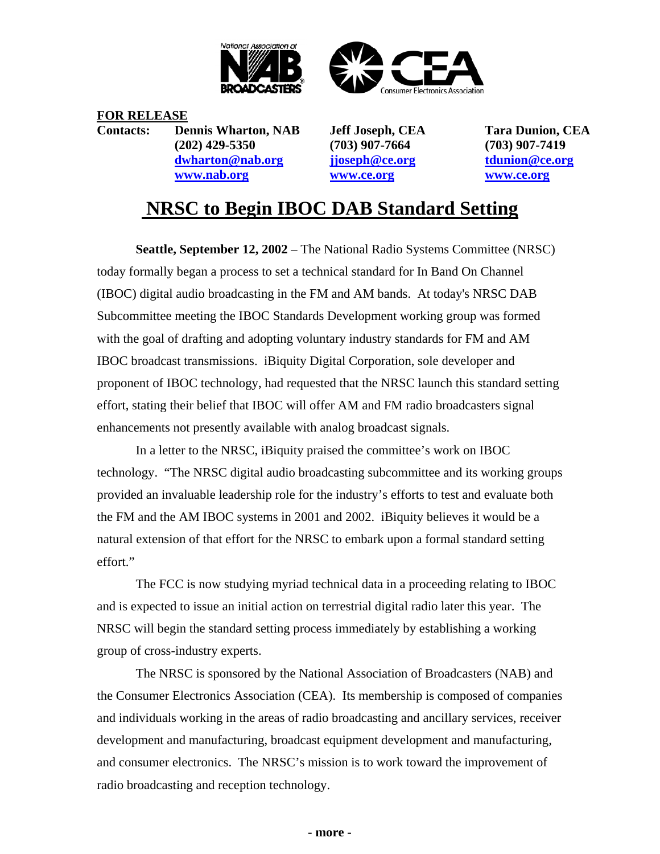



**FOR RELEASE Contacts: Dennis Wharton, NAB Jeff Joseph, CEA Tara Dunion, CEA (202) 429-5350 (703) 907-7664 (703) 907-7419 dwharton@nab.org jjoseph@ce.org tdunion@ce.org www.nab.org www.ce.org www.ce.org**

## **NRSC to Begin IBOC DAB Standard Setting**

**Seattle, September 12, 2002** – The National Radio Systems Committee (NRSC) today formally began a process to set a technical standard for In Band On Channel (IBOC) digital audio broadcasting in the FM and AM bands. At today's NRSC DAB Subcommittee meeting the IBOC Standards Development working group was formed with the goal of drafting and adopting voluntary industry standards for FM and AM IBOC broadcast transmissions. iBiquity Digital Corporation, sole developer and proponent of IBOC technology, had requested that the NRSC launch this standard setting effort, stating their belief that IBOC will offer AM and FM radio broadcasters signal enhancements not presently available with analog broadcast signals.

In a letter to the NRSC, iBiquity praised the committee's work on IBOC technology. "The NRSC digital audio broadcasting subcommittee and its working groups provided an invaluable leadership role for the industry's efforts to test and evaluate both the FM and the AM IBOC systems in 2001 and 2002. iBiquity believes it would be a natural extension of that effort for the NRSC to embark upon a formal standard setting effort."

The FCC is now studying myriad technical data in a proceeding relating to IBOC and is expected to issue an initial action on terrestrial digital radio later this year. The NRSC will begin the standard setting process immediately by establishing a working group of cross-industry experts.

The NRSC is sponsored by the National Association of Broadcasters (NAB) and the Consumer Electronics Association (CEA). Its membership is composed of companies and individuals working in the areas of radio broadcasting and ancillary services, receiver development and manufacturing, broadcast equipment development and manufacturing, and consumer electronics. The NRSC's mission is to work toward the improvement of radio broadcasting and reception technology.